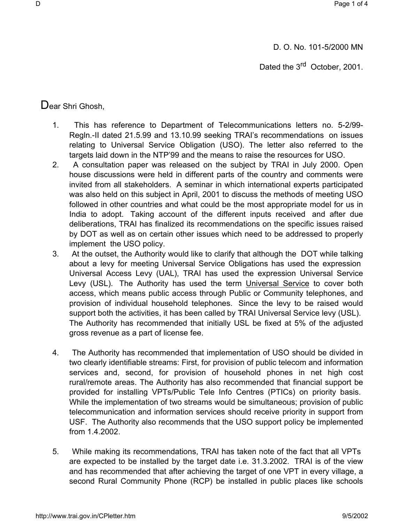D. O. No. 101-5/2000 MN

Dated the 3<sup>rd</sup> October, 2001.

Dear Shri Ghosh.

- 1. This has reference to Department of Telecommunications letters no. 5-2/99- Regln.-II dated 21.5.99 and 13.10.99 seeking TRAI's recommendations on issues relating to Universal Service Obligation (USO). The letter also referred to the targets laid down in the NTP'99 and the means to raise the resources for USO.
- 2. A consultation paper was released on the subject by TRAI in July 2000. Open house discussions were held in different parts of the country and comments were invited from all stakeholders. A seminar in which international experts participated was also held on this subject in April, 2001 to discuss the methods of meeting USO followed in other countries and what could be the most appropriate model for us in India to adopt. Taking account of the different inputs received and after due deliberations, TRAI has finalized its recommendations on the specific issues raised by DOT as well as on certain other issues which need to be addressed to properly implement the USO policy.
- 3. At the outset, the Authority would like to clarify that although the DOT while talking about a levy for meeting Universal Service Obligations has used the expression Universal Access Levy (UAL), TRAI has used the expression Universal Service Levy (USL). The Authority has used the term Universal Service to cover both access, which means public access through Public or Community telephones, and provision of individual household telephones. Since the levy to be raised would support both the activities, it has been called by TRAI Universal Service levy (USL). The Authority has recommended that initially USL be fixed at 5% of the adjusted gross revenue as a part of license fee.
- 4. The Authority has recommended that implementation of USO should be divided in two clearly identifiable streams: First, for provision of public telecom and information services and, second, for provision of household phones in net high cost rural/remote areas. The Authority has also recommended that financial support be provided for installing VPTs/Public Tele Info Centres (PTICs) on priority basis. While the implementation of two streams would be simultaneous; provision of public telecommunication and information services should receive priority in support from USF. The Authority also recommends that the USO support policy be implemented from 1.4.2002.
- 5. While making its recommendations, TRAI has taken note of the fact that all VPTs are expected to be installed by the target date i.e. 31.3.2002. TRAI is of the view and has recommended that after achieving the target of one VPT in every village, a second Rural Community Phone (RCP) be installed in public places like schools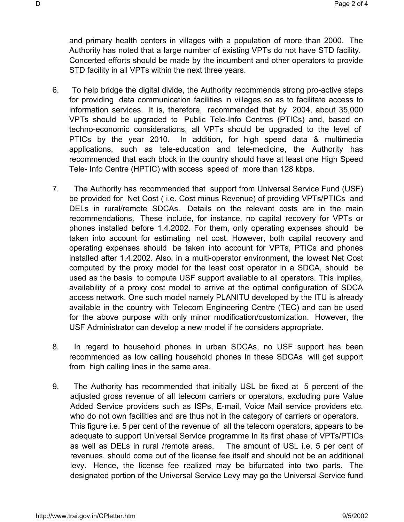and primary health centers in villages with a population of more than 2000. The Authority has noted that a large number of existing VPTs do not have STD facility. Concerted efforts should be made by the incumbent and other operators to provide STD facility in all VPTs within the next three years.

- 6. To help bridge the digital divide, the Authority recommends strong pro-active steps for providing data communication facilities in villages so as to facilitate access to information services. It is, therefore, recommended that by 2004, about 35,000 VPTs should be upgraded to Public Tele-Info Centres (PTICs) and, based on techno-economic considerations, all VPTs should be upgraded to the level of PTICs by the year 2010. In addition, for high speed data & multimedia applications, such as tele-education and tele-medicine, the Authority has recommended that each block in the country should have at least one High Speed Tele- Info Centre (HPTIC) with access speed of more than 128 kbps.
- 7. The Authority has recommended that support from Universal Service Fund (USF) be provided for Net Cost ( i.e. Cost minus Revenue) of providing VPTs/PTICs and DELs in rural/remote SDCAs. Details on the relevant costs are in the main recommendations. These include, for instance, no capital recovery for VPTs or phones installed before 1.4.2002. For them, only operating expenses should be taken into account for estimating net cost. However, both capital recovery and operating expenses should be taken into account for VPTs, PTICs and phones installed after 1.4.2002. Also, in a multi-operator environment, the lowest Net Cost computed by the proxy model for the least cost operator in a SDCA, should be used as the basis to compute USF support available to all operators. This implies, availability of a proxy cost model to arrive at the optimal configuration of SDCA access network. One such model namely PLANITU developed by the ITU is already available in the country with Telecom Engineering Centre (TEC) and can be used for the above purpose with only minor modification/customization. However, the USF Administrator can develop a new model if he considers appropriate.
- 8. In regard to household phones in urban SDCAs, no USF support has been recommended as low calling household phones in these SDCAs will get support from high calling lines in the same area.
- 9. The Authority has recommended that initially USL be fixed at 5 percent of the adjusted gross revenue of all telecom carriers or operators, excluding pure Value Added Service providers such as ISPs, E-mail, Voice Mail service providers etc. who do not own facilities and are thus not in the category of carriers or operators. This figure i.e. 5 per cent of the revenue of all the telecom operators, appears to be adequate to support Universal Service programme in its first phase of VPTs/PTICs as well as DELs in rural /remote areas. The amount of USL i.e. 5 per cent of revenues, should come out of the license fee itself and should not be an additional levy. Hence, the license fee realized may be bifurcated into two parts. The designated portion of the Universal Service Levy may go the Universal Service fund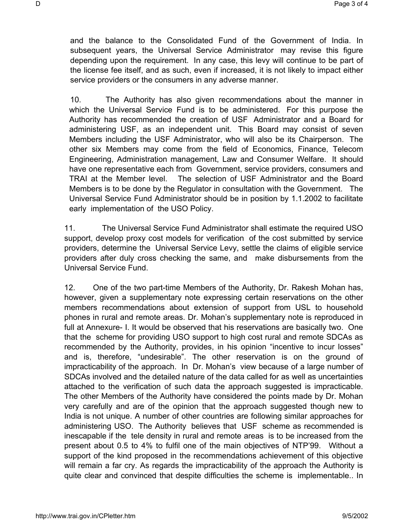and the balance to the Consolidated Fund of the Government of India. In subsequent years, the Universal Service Administrator may revise this figure depending upon the requirement. In any case, this levy will continue to be part of the license fee itself, and as such, even if increased, it is not likely to impact either service providers or the consumers in any adverse manner.

10. The Authority has also given recommendations about the manner in which the Universal Service Fund is to be administered. For this purpose the Authority has recommended the creation of USF Administrator and a Board for administering USF, as an independent unit. This Board may consist of seven Members including the USF Administrator, who will also be its Chairperson. The other six Members may come from the field of Economics, Finance, Telecom Engineering, Administration management, Law and Consumer Welfare. It should have one representative each from Government, service providers, consumers and TRAI at the Member level. The selection of USF Administrator and the Board Members is to be done by the Regulator in consultation with the Government. The Universal Service Fund Administrator should be in position by 1.1.2002 to facilitate early implementation of the USO Policy.

11. The Universal Service Fund Administrator shall estimate the required USO support, develop proxy cost models for verification of the cost submitted by service providers, determine the Universal Service Levy, settle the claims of eligible service providers after duly cross checking the same, and make disbursements from the Universal Service Fund.

12. One of the two part-time Members of the Authority, Dr. Rakesh Mohan has, however, given a supplementary note expressing certain reservations on the other members recommendations about extension of support from USL to household phones in rural and remote areas. Dr. Mohan's supplementary note is reproduced in full at Annexure- I. It would be observed that his reservations are basically two. One that the scheme for providing USO support to high cost rural and remote SDCAs as recommended by the Authority, provides, in his opinion "incentive to incur losses" and is, therefore, "undesirable". The other reservation is on the ground of impracticability of the approach. In Dr. Mohan's view because of a large number of SDCAs involved and the detailed nature of the data called for as well as uncertainties attached to the verification of such data the approach suggested is impracticable. The other Members of the Authority have considered the points made by Dr. Mohan very carefully and are of the opinion that the approach suggested though new to India is not unique. A number of other countries are following similar approaches for administering USO. The Authority believes that USF scheme as recommended is inescapable if the tele density in rural and remote areas is to be increased from the present about 0.5 to 4% to fulfil one of the main objectives of NTP'99. Without a support of the kind proposed in the recommendations achievement of this objective will remain a far cry. As regards the impracticability of the approach the Authority is quite clear and convinced that despite difficulties the scheme is implementable.. In